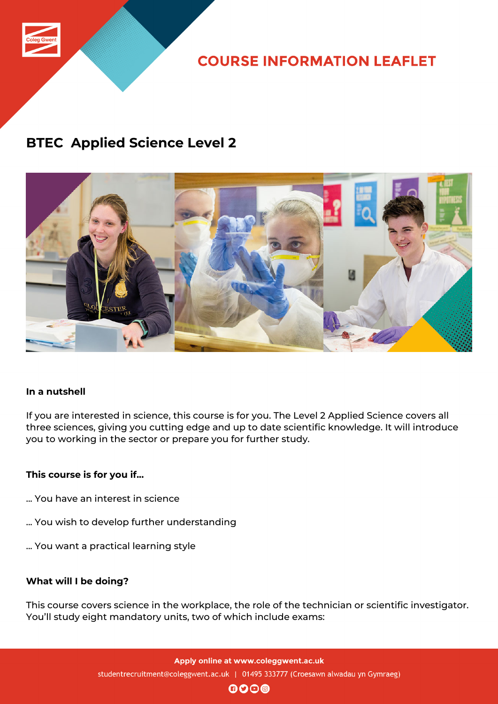

**COURSE INFORMATION LEAFLET** 

### **BTEC Applied Science Level 2**



### **In a nutshell**

If you are interested in science, this course is for you. The Level 2 Applied Science covers all three sciences, giving you cutting edge and up to date scientific knowledge. It will introduce you to working in the sector or prepare you for further study.

### **This course is for you if...**

- ... You have an interest in science
- ... You wish to develop further understanding
- ... You want a practical learning style

#### **What will I be doing?**

This course covers science in the workplace, the role of the technician or scientific investigator. You'll study eight mandatory units, two of which include exams:

 $\mathbf{0}$  $\mathbf{0}$  $\mathbf{0}$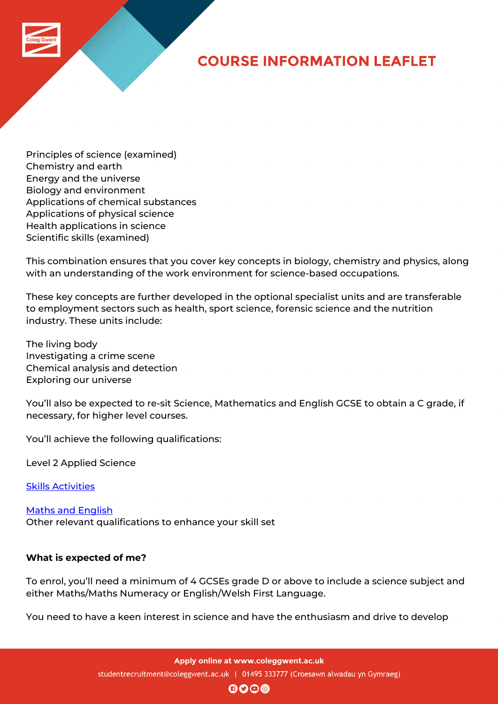# **COURSE INFORMATION LEAFLET**

Principles of science (examined) Chemistry and earth Energy and the universe Biology and environment Applications of chemical substances Applications of physical science Health applications in science Scientific skills (examined)

This combination ensures that you cover key concepts in biology, chemistry and physics, along with an understanding of the work environment for science-based occupations.

These key concepts are further developed in the optional specialist units and are transferable to employment sectors such as health, sport science, forensic science and the nutrition industry. These units include:

The living body Investigating a crime scene Chemical analysis and detection Exploring our universe

You'll also be expected to re-sit Science, Mathematics and English GCSE to obtain a C grade, if necessary, for higher level courses.

You'll achieve the following qualifications:

Level 2 Applied Science

Skills Activities

Maths and English [Other relevant](http://www.coleggwent.ac.uk/index.php?option=com_content&view=article&id=117#.WT_IG8s5WUk) qualifications to enhance your skill set

### **[What is expected](http://www.coleggwent.ac.uk/index.php?option=com_content&view=article&id=2314) of me?**

To enrol, you'll need a minimum of 4 GCSEs grade D or above to include a science subject and either Maths/Maths Numeracy or English/Welsh First Language.

You need to have a keen interest in science and have the enthusiasm and drive to develop

Apply online at www.coleggwent.ac.uk studentrecruitment@coleggwent.ac.uk | 01495 333777 (Croesawn alwadau yn Gymraeg)

 $\mathbf{0}$  $\mathbf{0}$  $\mathbf{0}$